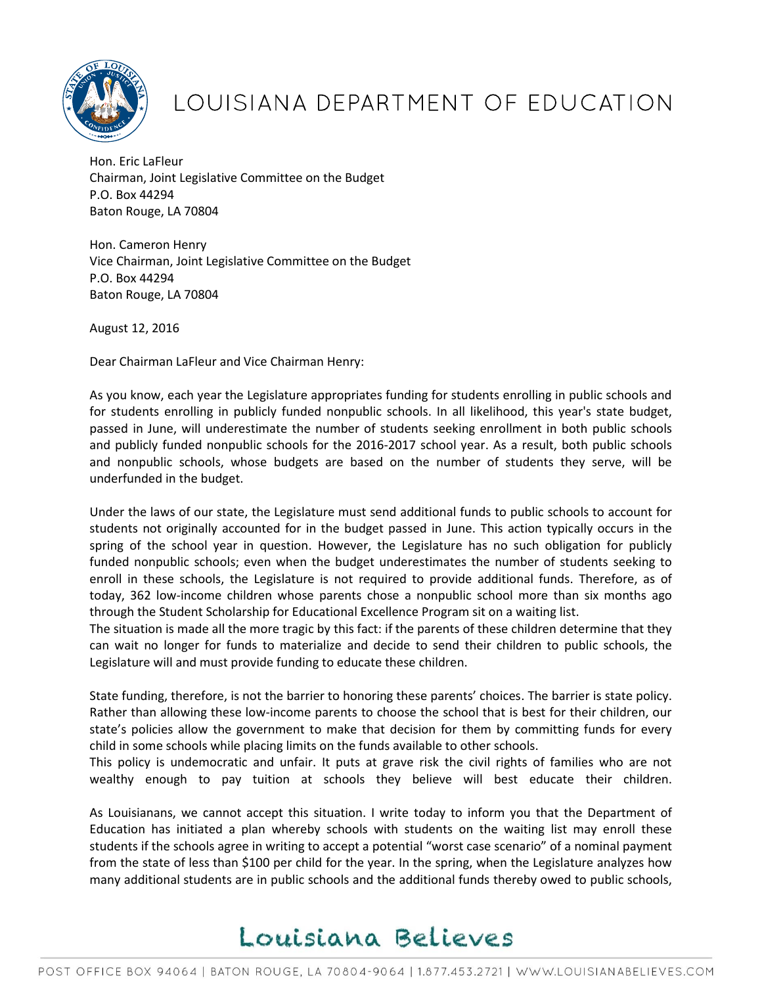

## LOUISIANA DEPARTMENT OF EDUCATION

Hon. Eric LaFleur Chairman, Joint Legislative Committee on the Budget P.O. Box 44294 Baton Rouge, LA 70804

Hon. Cameron Henry Vice Chairman, Joint Legislative Committee on the Budget P.O. Box 44294 Baton Rouge, LA 70804

August 12, 2016

Dear Chairman LaFleur and Vice Chairman Henry:

As you know, each year the Legislature appropriates funding for students enrolling in public schools and for students enrolling in publicly funded nonpublic schools. In all likelihood, this year's state budget, passed in June, will underestimate the number of students seeking enrollment in both public schools and publicly funded nonpublic schools for the 2016-2017 school year. As a result, both public schools and nonpublic schools, whose budgets are based on the number of students they serve, will be underfunded in the budget.

Under the laws of our state, the Legislature must send additional funds to public schools to account for students not originally accounted for in the budget passed in June. This action typically occurs in the spring of the school year in question. However, the Legislature has no such obligation for publicly funded nonpublic schools; even when the budget underestimates the number of students seeking to enroll in these schools, the Legislature is not required to provide additional funds. Therefore, as of today, 362 low-income children whose parents chose a nonpublic school more than six months ago through the Student Scholarship for Educational Excellence Program sit on a waiting list.

The situation is made all the more tragic by this fact: if the parents of these children determine that they can wait no longer for funds to materialize and decide to send their children to public schools, the Legislature will and must provide funding to educate these children.

State funding, therefore, is not the barrier to honoring these parents' choices. The barrier is state policy. Rather than allowing these low-income parents to choose the school that is best for their children, our state's policies allow the government to make that decision for them by committing funds for every child in some schools while placing limits on the funds available to other schools.

This policy is undemocratic and unfair. It puts at grave risk the civil rights of families who are not wealthy enough to pay tuition at schools they believe will best educate their children.

As Louisianans, we cannot accept this situation. I write today to inform you that the Department of Education has initiated a plan whereby schools with students on the waiting list may enroll these students if the schools agree in writing to accept a potential "worst case scenario" of a nominal payment from the state of less than \$100 per child for the year. In the spring, when the Legislature analyzes how many additional students are in public schools and the additional funds thereby owed to public schools,

## Louisiana Believes